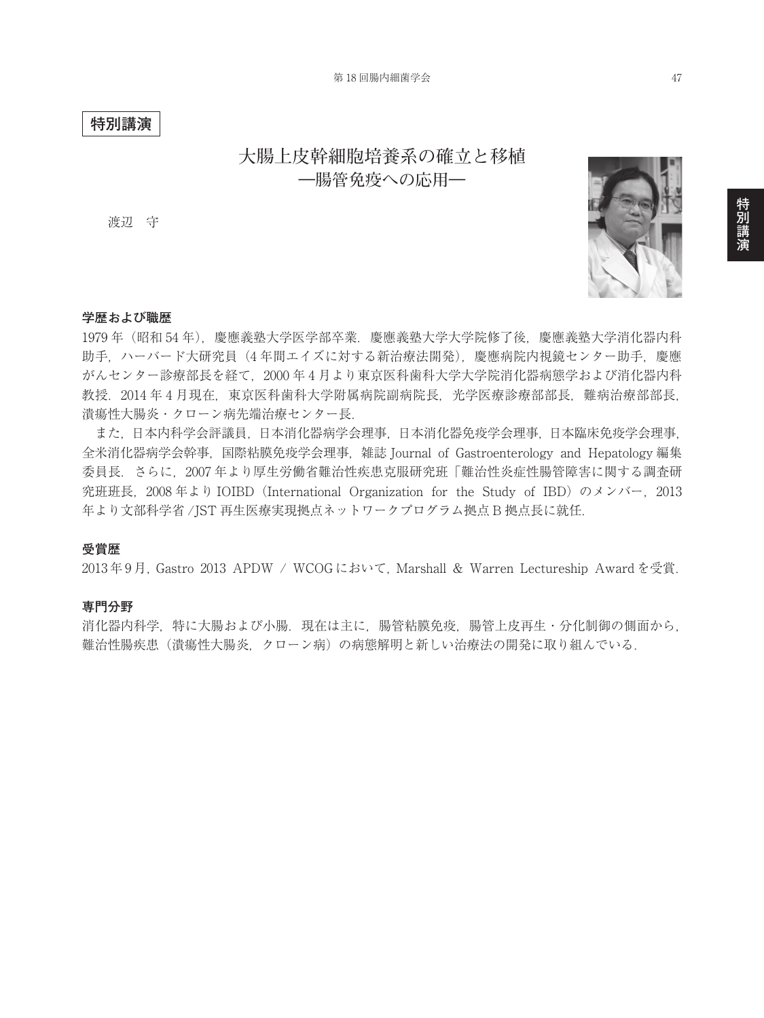### **特別講演**

# **大腸上皮幹細胞培養系の確立と移植 ―腸管免疫への応用―**

渡辺 守



#### **学歴および職歴**

1979 年(昭和 54 年),慶應義塾大学医学部卒業.慶應義塾大学大学院修了後,慶應義塾大学消化器内科 助手,ハーバード大研究員(4 年間エイズに対する新治療法開発),慶應病院内視鏡センター助手,慶應 がんセンター診療部長を経て,2000 年 4 月より東京医科歯科大学大学院消化器病態学および消化器内科 教授.2014 年 4 月現在,東京医科歯科大学附属病院副病院長,光学医療診療部部長,難病治療部部長, 潰瘍性大腸炎・クローン病先端治療センター長.

 また,日本内科学会評議員,日本消化器病学会理事,日本消化器免疫学会理事,日本臨床免疫学会理事, 全米消化器病学会幹事,国際粘膜免疫学会理事,雑誌 Journal of Gastroenterology and Hepatology 編集 委員長.さらに,2007 年より厚生労働省難治性疾患克服研究班「難治性炎症性腸管障害に関する調査研 究班班長, 2008 年より IOIBD (International Organization for the Study of IBD) のメンバー, 2013 年より文部科学省 /JST 再生医療実現拠点ネットワークプログラム拠点 B 拠点長に就任.

### **受賞歴**

2013年9月, Gastro 2013 APDW / WCOGにおいて, Marshall & Warren Lectureship Award を受賞.

#### **専門分野**

消化器内科学,特に大腸および小腸. 現在は主に, 腸管粘膜免疫, 腸管上皮再生・分化制御の側面から, 難治性腸疾患(潰瘍性大腸炎,クローン病)の病態解明と新しい治療法の開発に取り組んでいる.

特別講演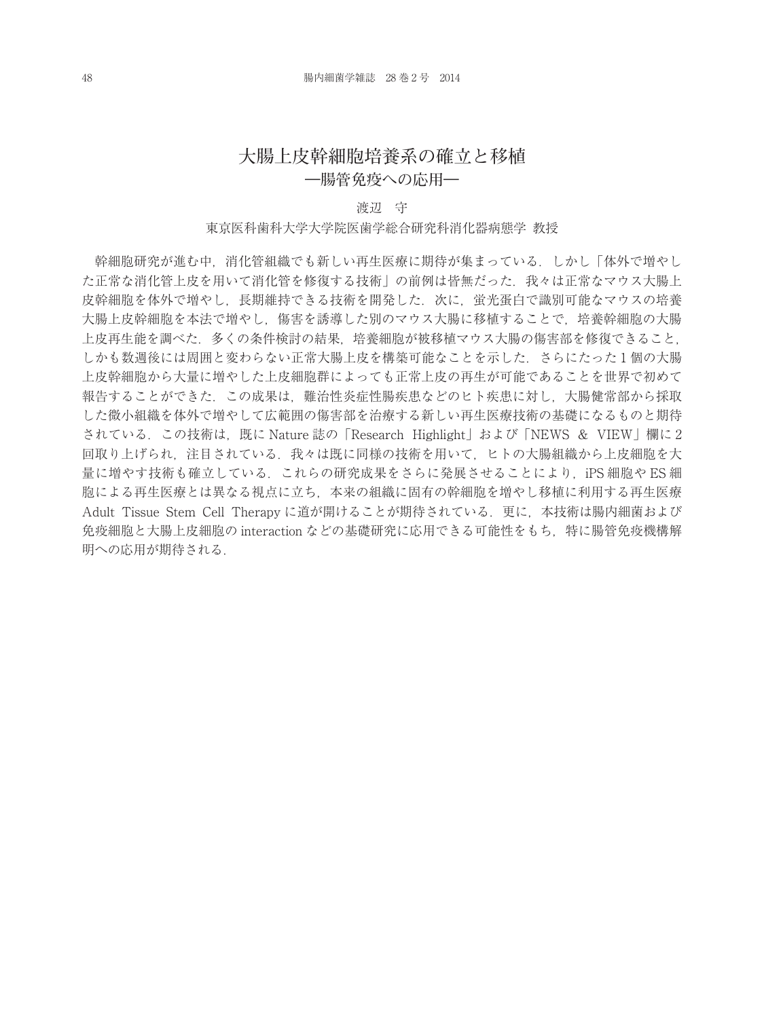## **大腸上皮幹細胞培養系の確立と移植 ―腸管免疫への応用―**

#### 渡辺 守

#### 東京医科歯科大学大学院医歯学総合研究科消化器病態学 教授

幹細胞研究が進む中,消化管組織でも新しい再生医療に期待が集まっている.しかし「体外で増やし た正常な消化管上皮を用いて消化管を修復する技術」の前例は皆無だった. 我々は正常なマウス大腸上 皮幹細胞を体外で増やし、長期維持できる技術を開発した. 次に、蛍光蛋白で識別可能なマウスの培養 大腸上皮幹細胞を本法で増やし,傷害を誘導した別のマウス大腸に移植することで,培養幹細胞の大腸 上皮再生能を調べた.多くの条件検討の結果,培養細胞が被移植マウス大腸の傷害部を修復できること, しかも数週後には周囲と変わらない正常大腸上皮を構築可能なことを示した. さらにたった1個の大腸 上皮幹細胞から大量に増やした上皮細胞群によっても正常上皮の再生が可能であることを世界で初めて 報告することができた.この成果は,難治性炎症性腸疾患などのヒト疾患に対し,大腸健常部から採取 した微小組織を体外で増やして広範囲の傷害部を治療する新しい再生医療技術の基礎になるものと期待 されている.この技術は,既に Nature 誌の「Research Highlight」および「NEWS & VIEW」欄に 2 回取り上げられ,注目されている.我々は既に同様の技術を用いて,ヒトの大腸組織から上皮細胞を大 量に増やす技術も確立している.これらの研究成果をさらに発展させることにより,iPS 細胞や ES 細 胞による再生医療とは異なる視点に立ち,本来の組織に固有の幹細胞を増やし移植に利用する再生医療 Adult Tissue Stem Cell Therapy に道が開けることが期待されている.更に,本技術は腸内細菌および 免疫細胞と大腸上皮細胞の interaction などの基礎研究に応用できる可能性をもち、特に腸管免疫機構解 明への応用が期待される.